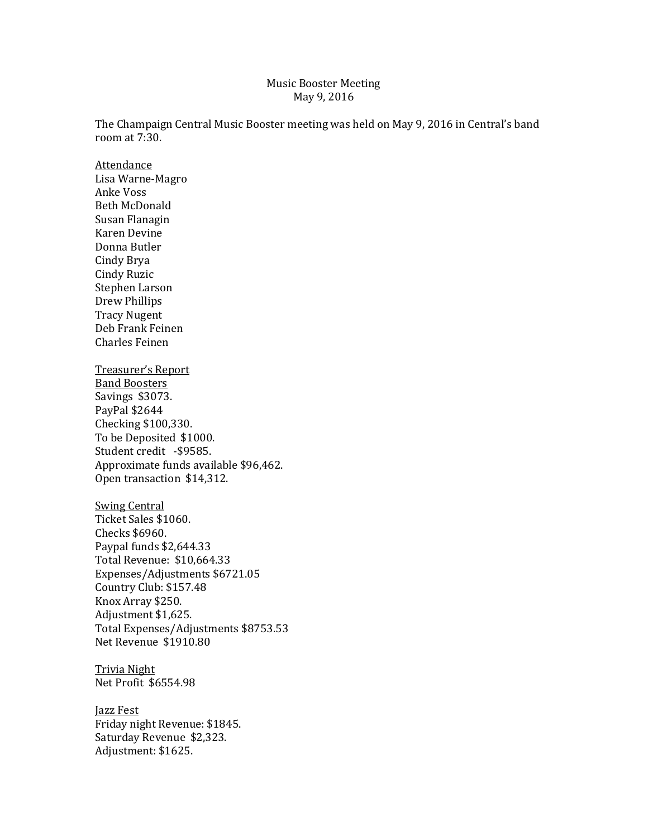#### Music Booster Meeting May 9, 2016

The Champaign Central Music Booster meeting was held on May 9, 2016 in Central's band room at 7:30.

Attendance Lisa Warne-Magro Anke Voss Beth McDonald Susan Flanagin Karen Devine Donna Butler Cindy Brya Cindy Ruzic Stephen Larson Drew Phillips Tracy Nugent Deb Frank Feinen Charles Feinen Treasurer's Report Band Boosters Savings \$3073. PayPal \$2644 Checking \$100,330.

To be Deposited \$1000. Student credit -\$9585. Approximate funds available \$96,462. Open transaction \$14,312.

Swing Central Ticket Sales \$1060. Checks \$6960. Paypal funds \$2,644.33 Total Revenue: \$10,664.33 Expenses/Adjustments \$6721.05 Country Club: \$157.48 Knox Array \$250. Adjustment \$1,625. Total Expenses/Adjustments \$8753.53 Net Revenue \$1910.80

Trivia Night Net Profit \$6554.98

Jazz Fest Friday night Revenue: \$1845. Saturday Revenue \$2,323. Adjustment: \$1625.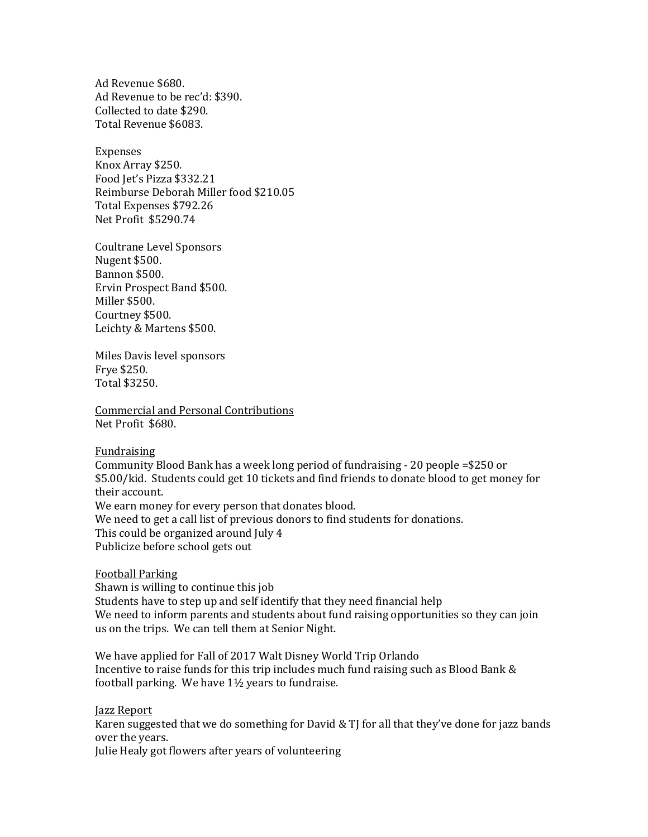Ad Revenue \$680. Ad Revenue to be rec'd: \$390. Collected to date \$290. Total Revenue \$6083.

Expenses Knox Array \$250. Food Jet's Pizza \$332.21 Reimburse Deborah Miller food \$210.05 Total Expenses \$792.26 Net Profit \$5290.74

Coultrane Level Sponsors Nugent \$500. Bannon \$500. Ervin Prospect Band \$500. Miller \$500. Courtney \$500. Leichty & Martens \$500.

Miles Davis level sponsors Frye \$250. Total \$3250.

Commercial and Personal Contributions Net Profit \$680.

Fundraising

Community Blood Bank has a week long period of fundraising - 20 people =\$250 or \$5.00/kid. Students could get 10 tickets and find friends to donate blood to get money for their account. We earn money for every person that donates blood. We need to get a call list of previous donors to find students for donations. This could be organized around July 4 Publicize before school gets out

Football Parking

Shawn is willing to continue this job Students have to step up and self identify that they need financial help We need to inform parents and students about fund raising opportunities so they can join us on the trips. We can tell them at Senior Night.

We have applied for Fall of 2017 Walt Disney World Trip Orlando Incentive to raise funds for this trip includes much fund raising such as Blood Bank & football parking. We have 1½ years to fundraise.

Jazz Report

Karen suggested that we do something for David & TJ for all that they've done for jazz bands over the years.

Julie Healy got flowers after years of volunteering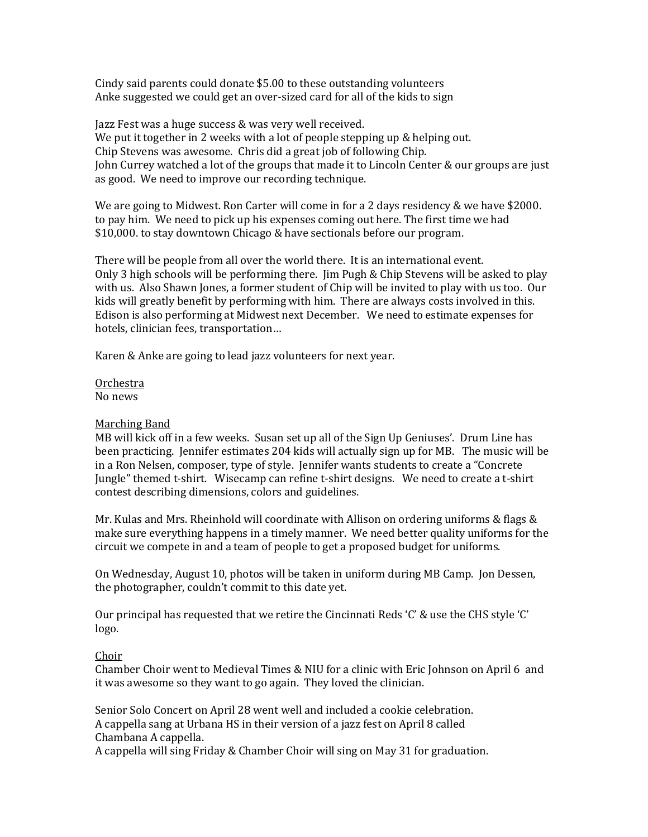Cindy said parents could donate \$5.00 to these outstanding volunteers Anke suggested we could get an over-sized card for all of the kids to sign

Jazz Fest was a huge success & was very well received. We put it together in 2 weeks with a lot of people stepping up & helping out. Chip Stevens was awesome. Chris did a great job of following Chip. John Currey watched a lot of the groups that made it to Lincoln Center & our groups are just as good. We need to improve our recording technique.

We are going to Midwest. Ron Carter will come in for a 2 days residency & we have \$2000. to pay him. We need to pick up his expenses coming out here. The first time we had \$10,000. to stay downtown Chicago & have sectionals before our program.

There will be people from all over the world there. It is an international event. Only 3 high schools will be performing there. Jim Pugh & Chip Stevens will be asked to play with us. Also Shawn Jones, a former student of Chip will be invited to play with us too. Our kids will greatly benefit by performing with him. There are always costs involved in this. Edison is also performing at Midwest next December. We need to estimate expenses for hotels, clinician fees, transportation…

Karen & Anke are going to lead jazz volunteers for next year.

Orchestra No news

# Marching Band

MB will kick off in a few weeks. Susan set up all of the Sign Up Geniuses'. Drum Line has been practicing. Jennifer estimates 204 kids will actually sign up for MB. The music will be in a Ron Nelsen, composer, type of style. Jennifer wants students to create a "Concrete Jungle" themed t-shirt. Wisecamp can refine t-shirt designs. We need to create a t-shirt contest describing dimensions, colors and guidelines.

Mr. Kulas and Mrs. Rheinhold will coordinate with Allison on ordering uniforms & flags & make sure everything happens in a timely manner. We need better quality uniforms for the circuit we compete in and a team of people to get a proposed budget for uniforms.

On Wednesday, August 10, photos will be taken in uniform during MB Camp. Jon Dessen, the photographer, couldn't commit to this date yet.

Our principal has requested that we retire the Cincinnati Reds 'C' & use the CHS style 'C' logo.

# Choir

Chamber Choir went to Medieval Times & NIU for a clinic with Eric Johnson on April 6 and it was awesome so they want to go again. They loved the clinician.

Senior Solo Concert on April 28 went well and included a cookie celebration. A cappella sang at Urbana HS in their version of a jazz fest on April 8 called Chambana A cappella.

A cappella will sing Friday & Chamber Choir will sing on May 31 for graduation.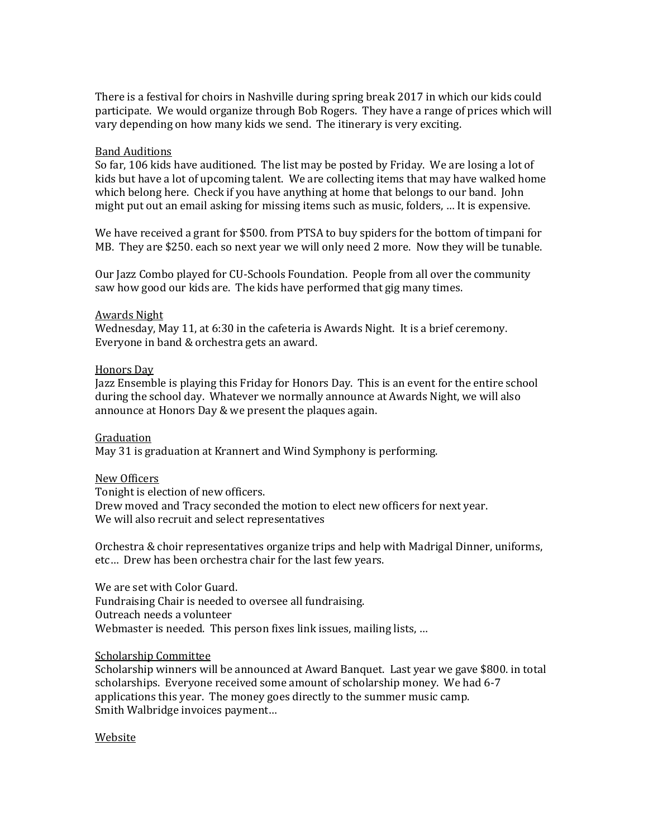There is a festival for choirs in Nashville during spring break 2017 in which our kids could participate. We would organize through Bob Rogers. They have a range of prices which will vary depending on how many kids we send. The itinerary is very exciting.

# Band Auditions

So far, 106 kids have auditioned. The list may be posted by Friday. We are losing a lot of kids but have a lot of upcoming talent. We are collecting items that may have walked home which belong here. Check if you have anything at home that belongs to our band. John might put out an email asking for missing items such as music, folders, … It is expensive.

We have received a grant for \$500. from PTSA to buy spiders for the bottom of timpani for MB. They are \$250. each so next year we will only need 2 more. Now they will be tunable.

Our Jazz Combo played for CU-Schools Foundation. People from all over the community saw how good our kids are. The kids have performed that gig many times.

## Awards Night

Wednesday, May 11, at 6:30 in the cafeteria is Awards Night. It is a brief ceremony. Everyone in band & orchestra gets an award.

### Honors Day

Jazz Ensemble is playing this Friday for Honors Day. This is an event for the entire school during the school day. Whatever we normally announce at Awards Night, we will also announce at Honors Day & we present the plaques again.

#### Graduation

May 31 is graduation at Krannert and Wind Symphony is performing.

#### New Officers

Tonight is election of new officers. Drew moved and Tracy seconded the motion to elect new officers for next year. We will also recruit and select representatives

Orchestra & choir representatives organize trips and help with Madrigal Dinner, uniforms, etc… Drew has been orchestra chair for the last few years.

We are set with Color Guard. Fundraising Chair is needed to oversee all fundraising. Outreach needs a volunteer Webmaster is needed. This person fixes link issues, mailing lists, …

### Scholarship Committee

Scholarship winners will be announced at Award Banquet. Last year we gave \$800. in total scholarships. Everyone received some amount of scholarship money. We had 6-7 applications this year. The money goes directly to the summer music camp. Smith Walbridge invoices payment…

## Website